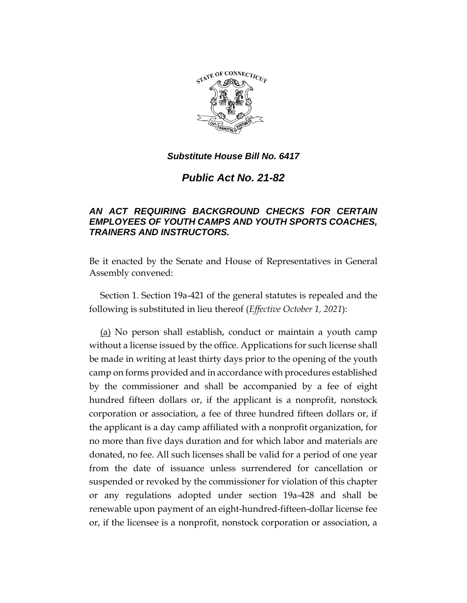

*Public Act No. 21-82*

## *AN ACT REQUIRING BACKGROUND CHECKS FOR CERTAIN EMPLOYEES OF YOUTH CAMPS AND YOUTH SPORTS COACHES, TRAINERS AND INSTRUCTORS.*

Be it enacted by the Senate and House of Representatives in General Assembly convened:

Section 1. Section 19a-421 of the general statutes is repealed and the following is substituted in lieu thereof (*Effective October 1, 2021*):

(a) No person shall establish, conduct or maintain a youth camp without a license issued by the office. Applications for such license shall be made in writing at least thirty days prior to the opening of the youth camp on forms provided and in accordance with procedures established by the commissioner and shall be accompanied by a fee of eight hundred fifteen dollars or, if the applicant is a nonprofit, nonstock corporation or association, a fee of three hundred fifteen dollars or, if the applicant is a day camp affiliated with a nonprofit organization, for no more than five days duration and for which labor and materials are donated, no fee. All such licenses shall be valid for a period of one year from the date of issuance unless surrendered for cancellation or suspended or revoked by the commissioner for violation of this chapter or any regulations adopted under section 19a-428 and shall be renewable upon payment of an eight-hundred-fifteen-dollar license fee or, if the licensee is a nonprofit, nonstock corporation or association, a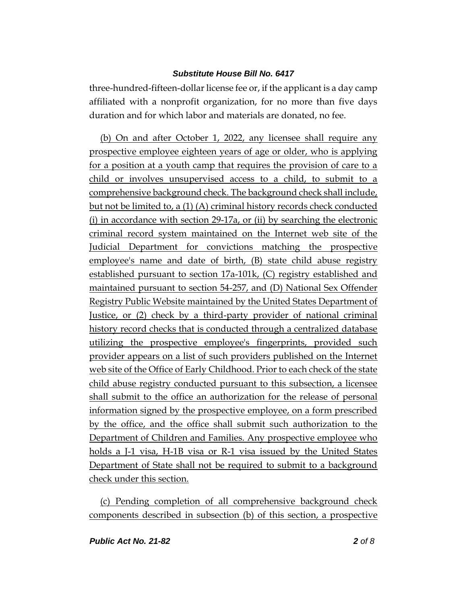three-hundred-fifteen-dollar license fee or, if the applicant is a day camp affiliated with a nonprofit organization, for no more than five days duration and for which labor and materials are donated, no fee.

(b) On and after October 1, 2022, any licensee shall require any prospective employee eighteen years of age or older, who is applying for a position at a youth camp that requires the provision of care to a child or involves unsupervised access to a child, to submit to a comprehensive background check. The background check shall include, but not be limited to, a (1) (A) criminal history records check conducted (i) in accordance with section 29-17a, or (ii) by searching the electronic criminal record system maintained on the Internet web site of the Judicial Department for convictions matching the prospective employee's name and date of birth, (B) state child abuse registry established pursuant to section 17a-101k, (C) registry established and maintained pursuant to section 54-257, and (D) National Sex Offender Registry Public Website maintained by the United States Department of Justice, or (2) check by a third-party provider of national criminal history record checks that is conducted through a centralized database utilizing the prospective employee's fingerprints, provided such provider appears on a list of such providers published on the Internet web site of the Office of Early Childhood. Prior to each check of the state child abuse registry conducted pursuant to this subsection, a licensee shall submit to the office an authorization for the release of personal information signed by the prospective employee, on a form prescribed by the office, and the office shall submit such authorization to the Department of Children and Families. Any prospective employee who holds a J-1 visa, H-1B visa or R-1 visa issued by the United States Department of State shall not be required to submit to a background check under this section.

(c) Pending completion of all comprehensive background check components described in subsection (b) of this section, a prospective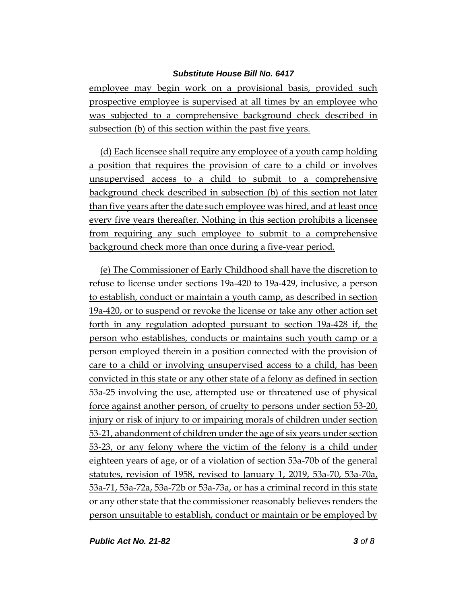employee may begin work on a provisional basis, provided such prospective employee is supervised at all times by an employee who was subjected to a comprehensive background check described in subsection (b) of this section within the past five years.

(d) Each licensee shall require any employee of a youth camp holding a position that requires the provision of care to a child or involves unsupervised access to a child to submit to a comprehensive background check described in subsection (b) of this section not later than five years after the date such employee was hired, and at least once every five years thereafter. Nothing in this section prohibits a licensee from requiring any such employee to submit to a comprehensive background check more than once during a five-year period.

(e) The Commissioner of Early Childhood shall have the discretion to refuse to license under sections 19a-420 to 19a-429, inclusive, a person to establish, conduct or maintain a youth camp, as described in section 19a-420, or to suspend or revoke the license or take any other action set forth in any regulation adopted pursuant to section 19a-428 if, the person who establishes, conducts or maintains such youth camp or a person employed therein in a position connected with the provision of care to a child or involving unsupervised access to a child, has been convicted in this state or any other state of a felony as defined in section 53a-25 involving the use, attempted use or threatened use of physical force against another person, of cruelty to persons under section 53-20, injury or risk of injury to or impairing morals of children under section 53-21, abandonment of children under the age of six years under section 53-23, or any felony where the victim of the felony is a child under eighteen years of age, or of a violation of section 53a-70b of the general statutes, revision of 1958, revised to January 1, 2019, 53a-70, 53a-70a, 53a-71, 53a-72a, 53a-72b or 53a-73a, or has a criminal record in this state or any other state that the commissioner reasonably believes renders the person unsuitable to establish, conduct or maintain or be employed by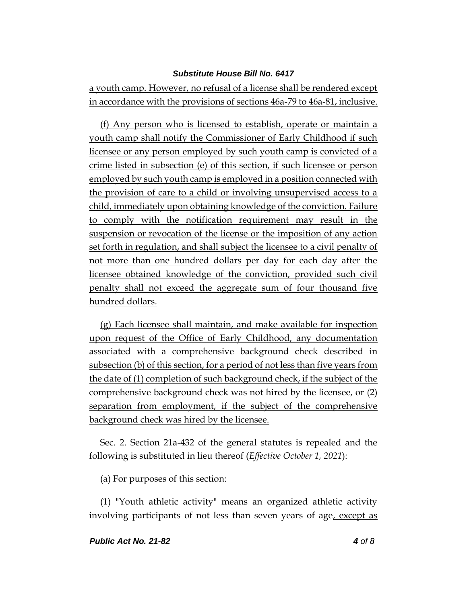a youth camp. However, no refusal of a license shall be rendered except in accordance with the provisions of sections 46a-79 to 46a-81, inclusive.

(f) Any person who is licensed to establish, operate or maintain a youth camp shall notify the Commissioner of Early Childhood if such licensee or any person employed by such youth camp is convicted of a crime listed in subsection (e) of this section, if such licensee or person employed by such youth camp is employed in a position connected with the provision of care to a child or involving unsupervised access to a child, immediately upon obtaining knowledge of the conviction. Failure to comply with the notification requirement may result in the suspension or revocation of the license or the imposition of any action set forth in regulation, and shall subject the licensee to a civil penalty of not more than one hundred dollars per day for each day after the licensee obtained knowledge of the conviction, provided such civil penalty shall not exceed the aggregate sum of four thousand five hundred dollars.

(g) Each licensee shall maintain, and make available for inspection upon request of the Office of Early Childhood, any documentation associated with a comprehensive background check described in subsection (b) of this section, for a period of not less than five years from the date of (1) completion of such background check, if the subject of the comprehensive background check was not hired by the licensee, or (2) separation from employment, if the subject of the comprehensive background check was hired by the licensee.

Sec. 2. Section 21a-432 of the general statutes is repealed and the following is substituted in lieu thereof (*Effective October 1, 2021*):

(a) For purposes of this section:

(1) "Youth athletic activity" means an organized athletic activity involving participants of not less than seven years of age, except as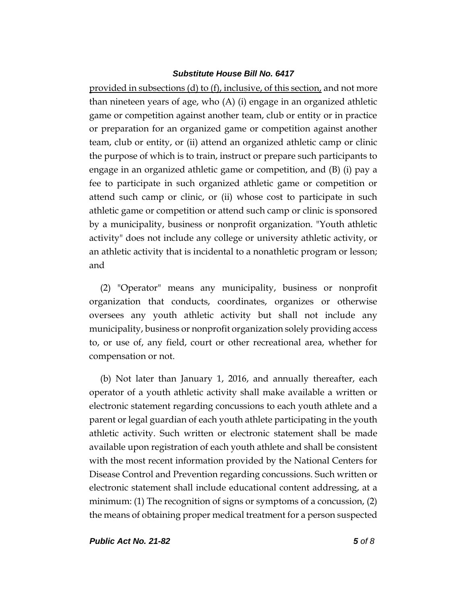provided in subsections (d) to (f), inclusive, of this section, and not more than nineteen years of age, who (A) (i) engage in an organized athletic game or competition against another team, club or entity or in practice or preparation for an organized game or competition against another team, club or entity, or (ii) attend an organized athletic camp or clinic the purpose of which is to train, instruct or prepare such participants to engage in an organized athletic game or competition, and (B) (i) pay a fee to participate in such organized athletic game or competition or attend such camp or clinic, or (ii) whose cost to participate in such athletic game or competition or attend such camp or clinic is sponsored by a municipality, business or nonprofit organization. "Youth athletic activity" does not include any college or university athletic activity, or an athletic activity that is incidental to a nonathletic program or lesson; and

(2) "Operator" means any municipality, business or nonprofit organization that conducts, coordinates, organizes or otherwise oversees any youth athletic activity but shall not include any municipality, business or nonprofit organization solely providing access to, or use of, any field, court or other recreational area, whether for compensation or not.

(b) Not later than January 1, 2016, and annually thereafter, each operator of a youth athletic activity shall make available a written or electronic statement regarding concussions to each youth athlete and a parent or legal guardian of each youth athlete participating in the youth athletic activity. Such written or electronic statement shall be made available upon registration of each youth athlete and shall be consistent with the most recent information provided by the National Centers for Disease Control and Prevention regarding concussions. Such written or electronic statement shall include educational content addressing, at a minimum: (1) The recognition of signs or symptoms of a concussion, (2) the means of obtaining proper medical treatment for a person suspected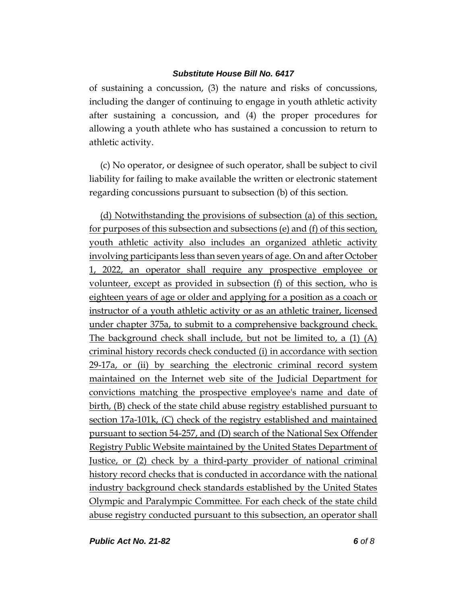of sustaining a concussion, (3) the nature and risks of concussions, including the danger of continuing to engage in youth athletic activity after sustaining a concussion, and (4) the proper procedures for allowing a youth athlete who has sustained a concussion to return to athletic activity.

(c) No operator, or designee of such operator, shall be subject to civil liability for failing to make available the written or electronic statement regarding concussions pursuant to subsection (b) of this section.

(d) Notwithstanding the provisions of subsection (a) of this section, for purposes of this subsection and subsections (e) and (f) of this section, youth athletic activity also includes an organized athletic activity involving participants less than seven years of age. On and after October 1, 2022, an operator shall require any prospective employee or volunteer, except as provided in subsection (f) of this section, who is eighteen years of age or older and applying for a position as a coach or instructor of a youth athletic activity or as an athletic trainer, licensed under chapter 375a, to submit to a comprehensive background check. The background check shall include, but not be limited to, a (1) (A) criminal history records check conducted (i) in accordance with section 29-17a, or (ii) by searching the electronic criminal record system maintained on the Internet web site of the Judicial Department for convictions matching the prospective employee's name and date of birth, (B) check of the state child abuse registry established pursuant to section 17a-101k, (C) check of the registry established and maintained pursuant to section 54-257, and (D) search of the National Sex Offender Registry Public Website maintained by the United States Department of Justice, or (2) check by a third-party provider of national criminal history record checks that is conducted in accordance with the national industry background check standards established by the United States Olympic and Paralympic Committee. For each check of the state child abuse registry conducted pursuant to this subsection, an operator shall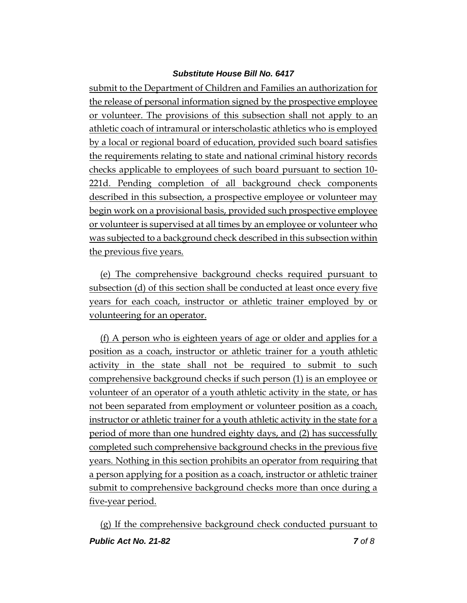submit to the Department of Children and Families an authorization for the release of personal information signed by the prospective employee or volunteer. The provisions of this subsection shall not apply to an athletic coach of intramural or interscholastic athletics who is employed by a local or regional board of education, provided such board satisfies the requirements relating to state and national criminal history records checks applicable to employees of such board pursuant to section 10- 221d. Pending completion of all background check components described in this subsection, a prospective employee or volunteer may begin work on a provisional basis, provided such prospective employee or volunteer is supervised at all times by an employee or volunteer who was subjected to a background check described in this subsection within the previous five years.

(e) The comprehensive background checks required pursuant to subsection (d) of this section shall be conducted at least once every five years for each coach, instructor or athletic trainer employed by or volunteering for an operator.

(f) A person who is eighteen years of age or older and applies for a position as a coach, instructor or athletic trainer for a youth athletic activity in the state shall not be required to submit to such comprehensive background checks if such person (1) is an employee or volunteer of an operator of a youth athletic activity in the state, or has not been separated from employment or volunteer position as a coach, instructor or athletic trainer for a youth athletic activity in the state for a period of more than one hundred eighty days, and (2) has successfully completed such comprehensive background checks in the previous five years. Nothing in this section prohibits an operator from requiring that a person applying for a position as a coach, instructor or athletic trainer submit to comprehensive background checks more than once during a five-year period.

*Public Act No. 21-82 7 of 8* (g) If the comprehensive background check conducted pursuant to